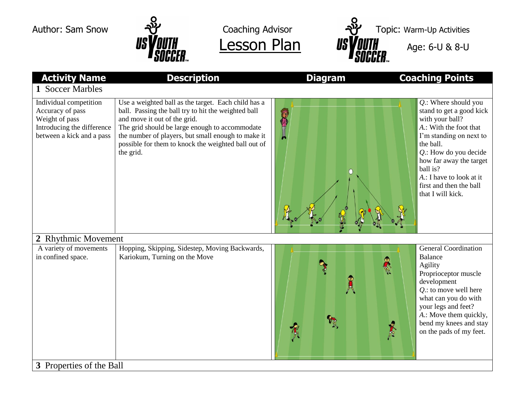





| <b>Activity Name</b>                                                                                                    | <b>Description</b>                                                                                                                                                                                                                                                                                                     | <b>Diagram</b> | <b>Coaching Points</b>                                                                                                                                                                                                                                                                  |  |  |
|-------------------------------------------------------------------------------------------------------------------------|------------------------------------------------------------------------------------------------------------------------------------------------------------------------------------------------------------------------------------------------------------------------------------------------------------------------|----------------|-----------------------------------------------------------------------------------------------------------------------------------------------------------------------------------------------------------------------------------------------------------------------------------------|--|--|
| 1 Soccer Marbles                                                                                                        |                                                                                                                                                                                                                                                                                                                        |                |                                                                                                                                                                                                                                                                                         |  |  |
| Individual competition<br>Accuracy of pass<br>Weight of pass<br>Introducing the difference<br>between a kick and a pass | Use a weighted ball as the target. Each child has a<br>ball. Passing the ball try to hit the weighted ball<br>and move it out of the grid.<br>The grid should be large enough to accommodate<br>the number of players, but small enough to make it<br>possible for them to knock the weighted ball out of<br>the grid. | O              | $Q$ .: Where should you<br>stand to get a good kick<br>with your ball?<br>A.: With the foot that<br>I'm standing on next to<br>the ball.<br>$Q$ .: How do you decide<br>how far away the target<br>ball is?<br>A.: I have to look at it<br>first and then the ball<br>that I will kick. |  |  |
| 2 Rhythmic Movement                                                                                                     |                                                                                                                                                                                                                                                                                                                        |                |                                                                                                                                                                                                                                                                                         |  |  |
| A variety of movements<br>in confined space.                                                                            | Hopping, Skipping, Sidestep, Moving Backwards,<br>Kariokum, Turning on the Move                                                                                                                                                                                                                                        | 人足             | <b>General Coordination</b><br><b>Balance</b><br>Agility<br>Proprioceptor muscle<br>development<br>$Q$ .: to move well here<br>what can you do with<br>your legs and feet?<br>A.: Move them quickly,<br>bend my knees and stay<br>on the pads of my feet.                               |  |  |
| 3 Properties of the Ball                                                                                                |                                                                                                                                                                                                                                                                                                                        |                |                                                                                                                                                                                                                                                                                         |  |  |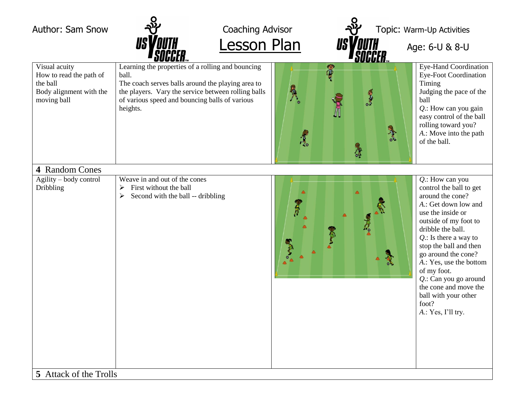



**Lesson Plan**  $US$  **VOUTH** Age: 6-U & 8-U

|                                                                                                | • JUUULN…                                                                                                                                                                                                                            | <u>- Julilia – </u>                                   |                                                                                                                                                                                                                                                                                                                                                                                              |  |
|------------------------------------------------------------------------------------------------|--------------------------------------------------------------------------------------------------------------------------------------------------------------------------------------------------------------------------------------|-------------------------------------------------------|----------------------------------------------------------------------------------------------------------------------------------------------------------------------------------------------------------------------------------------------------------------------------------------------------------------------------------------------------------------------------------------------|--|
| Visual acuity<br>How to read the path of<br>the ball<br>Body alignment with the<br>moving ball | Learning the properties of a rolling and bouncing<br>ball.<br>The coach serves balls around the playing area to<br>the players. Vary the service between rolling balls<br>of various speed and bouncing balls of various<br>heights. | <b>OB</b><br><b>ORAN</b><br>Rea<br>$\frac{1}{2}$<br>R | <b>Eye-Hand Coordination</b><br><b>Eye-Foot Coordination</b><br>Timing<br>Judging the pace of the<br>ball<br>$Q$ .: How can you gain<br>easy control of the ball<br>rolling toward you?<br>A.: Move into the path<br>of the ball.                                                                                                                                                            |  |
| 4 Random Cones                                                                                 |                                                                                                                                                                                                                                      |                                                       |                                                                                                                                                                                                                                                                                                                                                                                              |  |
| Agility – body control<br>Dribbling                                                            | Weave in and out of the cones<br>First without the ball<br>$\blacktriangleright$<br>Second with the ball -- dribbling<br>$\blacktriangleright$                                                                                       | 氰                                                     | $Q$ .: How can you<br>control the ball to get<br>around the cone?<br>A.: Get down low and<br>use the inside or<br>outside of my foot to<br>dribble the ball.<br>$Q$ .: Is there a way to<br>stop the ball and then<br>go around the cone?<br>A.: Yes, use the bottom<br>of my foot.<br>Q.: Can you go around<br>the cone and move the<br>ball with your other<br>foot?<br>A.: Yes, I'll try. |  |
| 5 Attack of the Trolls                                                                         |                                                                                                                                                                                                                                      |                                                       |                                                                                                                                                                                                                                                                                                                                                                                              |  |